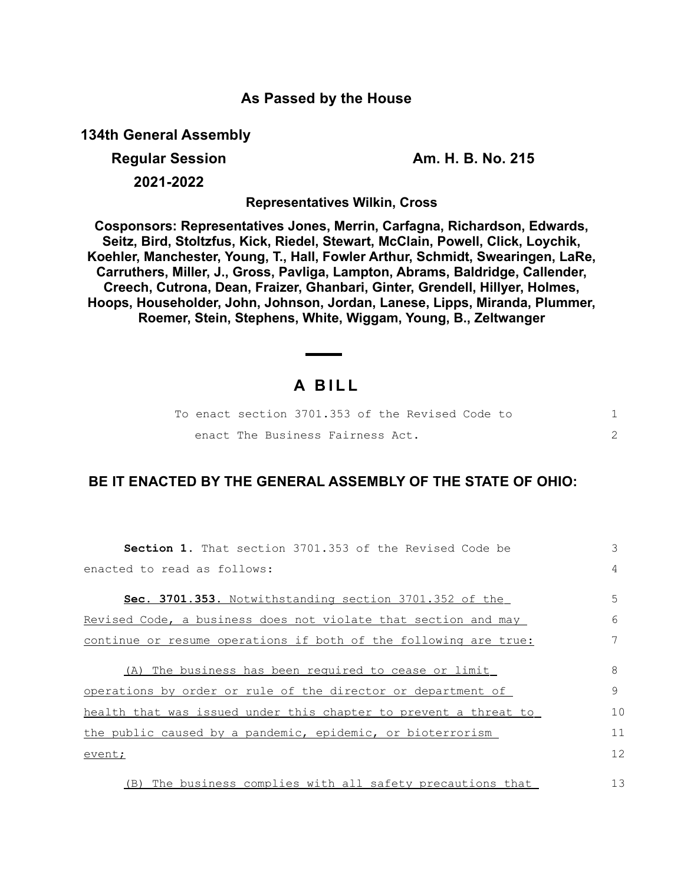## **As Passed by the House**

**134th General Assembly**

**Regular Session Am. H. B. No. 215**

**2021-2022**

**Representatives Wilkin, Cross**

**Cosponsors: Representatives Jones, Merrin, Carfagna, Richardson, Edwards, Seitz, Bird, Stoltzfus, Kick, Riedel, Stewart, McClain, Powell, Click, Loychik, Koehler, Manchester, Young, T., Hall, Fowler Arthur, Schmidt, Swearingen, LaRe, Carruthers, Miller, J., Gross, Pavliga, Lampton, Abrams, Baldridge, Callender, Creech, Cutrona, Dean, Fraizer, Ghanbari, Ginter, Grendell, Hillyer, Holmes, Hoops, Householder, John, Johnson, Jordan, Lanese, Lipps, Miranda, Plummer, Roemer, Stein, Stephens, White, Wiggam, Young, B., Zeltwanger**

## **A B I L L**

|  |  | To enact section 3701.353 of the Revised Code to |  |  |  |
|--|--|--------------------------------------------------|--|--|--|
|  |  | enact The Business Fairness Act.                 |  |  |  |

## **BE IT ENACTED BY THE GENERAL ASSEMBLY OF THE STATE OF OHIO:**

| <b>Section 1.</b> That section 3701.353 of the Revised Code be   | 3  |
|------------------------------------------------------------------|----|
| enacted to read as follows:                                      | 4  |
| Sec. 3701.353. Notwithstanding section 3701.352 of the           | 5  |
| Revised Code, a business does not violate that section and may   | 6  |
| continue or resume operations if both of the following are true: |    |
| (A) The business has been required to cease or limit             | 8  |
| operations by order or rule of the director or department of     | 9  |
| health that was issued under this chapter to prevent a threat to | 10 |
| the public caused by a pandemic, epidemic, or bioterrorism       | 11 |
| event;                                                           | 12 |
| (B) The business complies with all safety precautions that       | 13 |